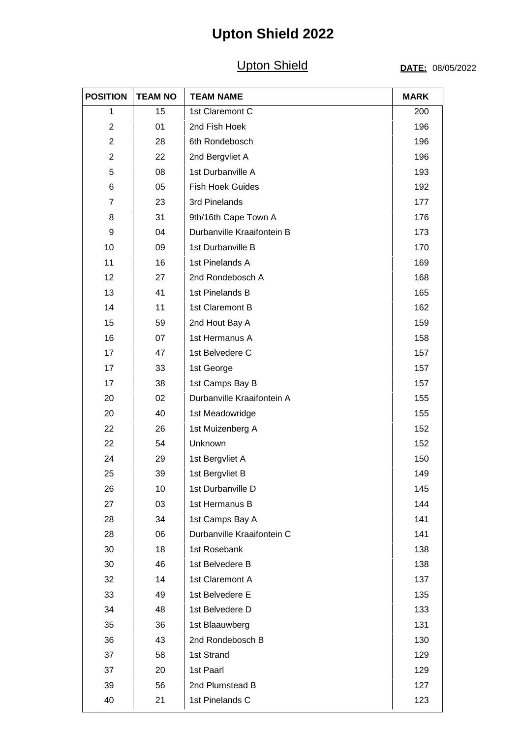## **Upton Shield 2022**

### **Upton Shield**

#### DATE: 08/05/2022

| <b>POSITION</b> | <b>TEAM NO</b> | <b>TEAM NAME</b>           | <b>MARK</b> |
|-----------------|----------------|----------------------------|-------------|
| 1               | 15             | 1st Claremont C            | 200         |
| $\overline{c}$  | 01             | 2nd Fish Hoek              | 196         |
| $\overline{2}$  | 28             | 6th Rondebosch             | 196         |
| $\overline{c}$  | 22             | 2nd Bergvliet A            | 196         |
| 5               | 08             | 1st Durbanville A          | 193         |
| 6               | 05             | <b>Fish Hoek Guides</b>    | 192         |
| $\overline{7}$  | 23             | 3rd Pinelands              | 177         |
| 8               | 31             | 9th/16th Cape Town A       | 176         |
| 9               | 04             | Durbanville Kraaifontein B | 173         |
| 10              | 09             | 1st Durbanville B          | 170         |
| 11              | 16             | 1st Pinelands A            | 169         |
| 12              | 27             | 2nd Rondebosch A           | 168         |
| 13              | 41             | 1st Pinelands B            | 165         |
| 14              | 11             | 1st Claremont B            | 162         |
| 15              | 59             | 2nd Hout Bay A             | 159         |
| 16              | 07             | 1st Hermanus A             | 158         |
| 17              | 47             | 1st Belvedere C            | 157         |
| 17              | 33             | 1st George                 | 157         |
| 17              | 38             | 1st Camps Bay B            | 157         |
| 20              | 02             | Durbanville Kraaifontein A | 155         |
| 20              | 40             | 1st Meadowridge            | 155         |
| 22              | 26             | 1st Muizenberg A           | 152         |
| 22              | 54             | Unknown                    | 152         |
| 24              | 29             | 1st Bergvliet A            | 150         |
| 25              | 39             | 1st Bergvliet B            | 149         |
| 26              | 10             | 1st Durbanville D          | 145         |
| 27              | 03             | 1st Hermanus B             | 144         |
| 28              | 34             | 1st Camps Bay A            | 141         |
| 28              | 06             | Durbanville Kraaifontein C | 141         |
| 30              | 18             | 1st Rosebank               | 138         |
| 30              | 46             | 1st Belvedere B            | 138         |
| 32              | 14             | 1st Claremont A            | 137         |
| 33              | 49             | 1st Belvedere E            | 135         |
| 34              | 48             | 1st Belvedere D            | 133         |
| 35              | 36             | 1st Blaauwberg             | 131         |
| 36              | 43             | 2nd Rondebosch B           | 130         |
| 37              | 58             | 1st Strand                 | 129         |
| 37              | 20             | 1st Paarl                  | 129         |
| 39              | 56             | 2nd Plumstead B            | 127         |
| 40              | 21             | 1st Pinelands C            | 123         |